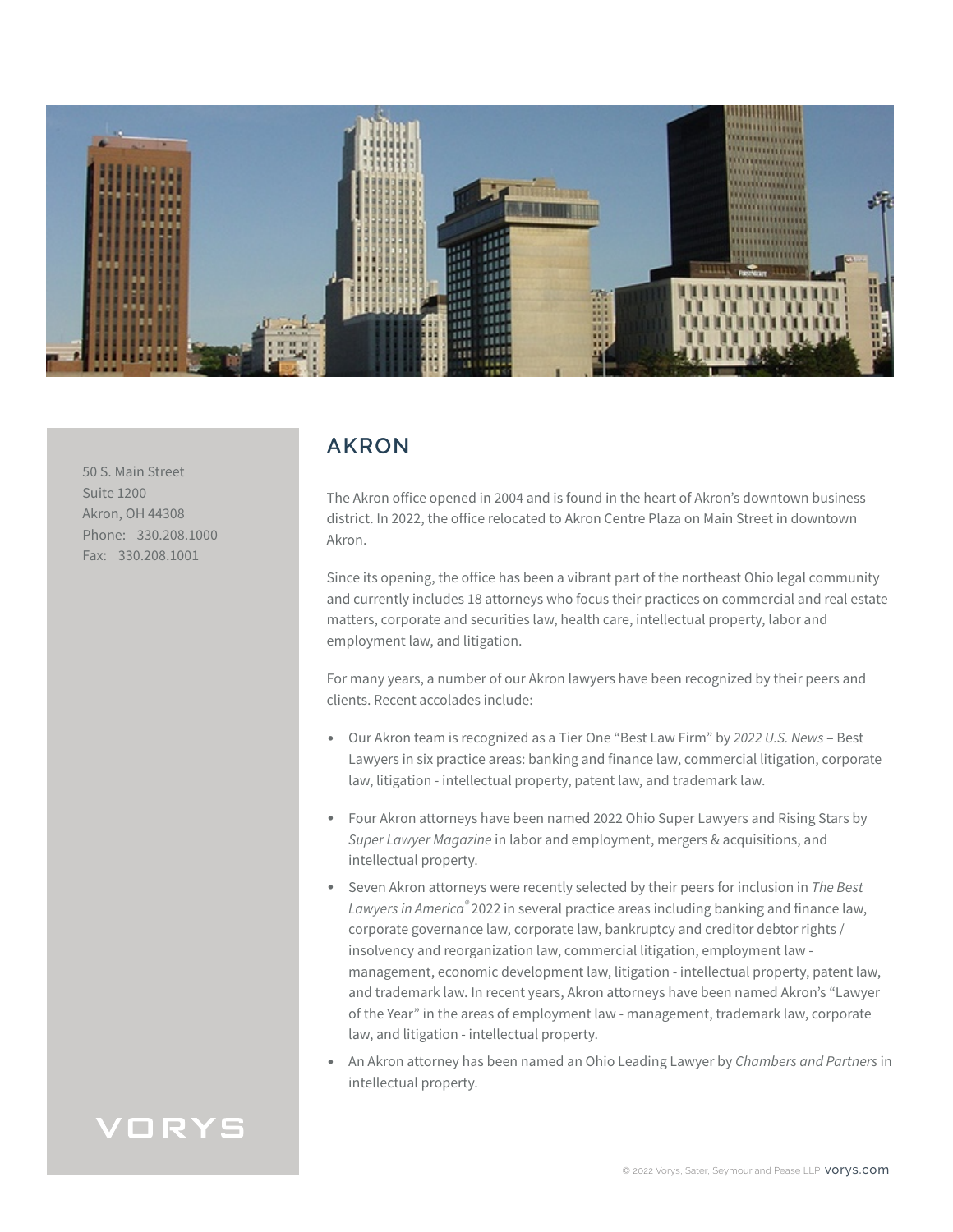

50 S. Main Street Suite 1200 Akron, OH 44308 Phone: 330.208.1000 Fax: 330.208.1001

# **AKRON**

The Akron office opened in 2004 and is found in the heart of Akron's downtown business district. In 2022, the office relocated to Akron Centre Plaza on Main Street in downtown Akron.

Since its opening, the office has been a vibrant part of the northeast Ohio legal community and currently includes 18 attorneys who focus their practices on commercial and real estate matters, corporate and securities law, health care, intellectual property, labor and employment law, and litigation.

For many years, a number of our Akron lawyers have been recognized by their peers and clients. Recent accolades include:

- Our Akron team is recognized as a Tier One "Best Law Firm" by *2022 U.S. News* Best Lawyers in six practice areas: banking and finance law, commercial litigation, corporate law, litigation - intellectual property, patent law, and trademark law.
- Four Akron attorneys have been named 2022 Ohio Super Lawyers and Rising Stars by *Super Lawyer Magazine* in labor and employment, mergers & acquisitions, and intellectual property.
- Seven Akron attorneys were recently selected by their peers for inclusion in *The Best Lawyers in America®* 2022 in several practice areas including banking and finance law, corporate governance law, corporate law, bankruptcy and creditor debtor rights / insolvency and reorganization law, commercial litigation, employment law management, economic development law, litigation - intellectual property, patent law, and trademark law. In recent years, Akron attorneys have been named Akron's "Lawyer of the Year" in the areas of employment law - management, trademark law, corporate law, and litigation - intellectual property.
- An Akron attorney has been named an Ohio Leading Lawyer by *Chambers and Partners* in intellectual property.

# VORYS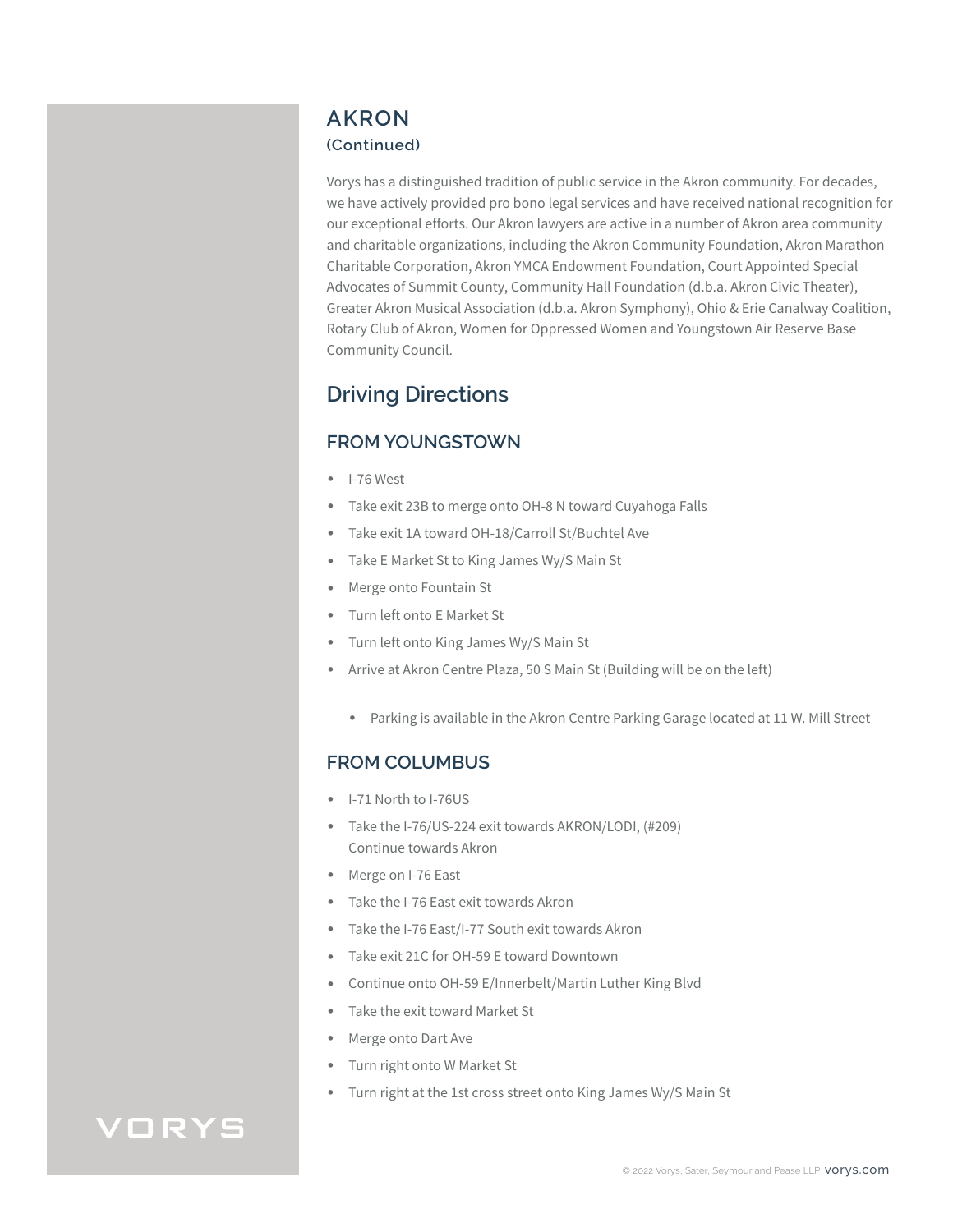## **AKRON (Continued)**

Vorys has a distinguished tradition of public service in the Akron community. For decades, we have actively provided pro bono legal services and have received national recognition for our exceptional efforts. Our Akron lawyers are active in a number of Akron area community and charitable organizations, including the Akron Community Foundation, Akron Marathon Charitable Corporation, Akron YMCA Endowment Foundation, Court Appointed Special Advocates of Summit County, Community Hall Foundation (d.b.a. Akron Civic Theater), Greater Akron Musical Association (d.b.a. Akron Symphony), Ohio & Erie Canalway Coalition, Rotary Club of Akron, Women for Oppressed Women and Youngstown Air Reserve Base Community Council.

# **Driving Directions**

# **FROM YOUNGSTOWN**

- I-76 West
- Take exit 23B to merge onto OH-8 N toward Cuyahoga Falls
- Take exit 1A toward OH-18/Carroll St/Buchtel Ave
- Take E Market St to King James Wy/S Main St
- Merge onto Fountain St
- Turn left onto E Market St
- Turn left onto King James Wy/S Main St
- Arrive at Akron Centre Plaza, 50 S Main St (Building will be on the left)
	- Parking is available in the Akron Centre Parking Garage located at 11 W. Mill Street

#### **FROM COLUMBUS**

- I-71 North to I-76US
- Take the I-76/US-224 exit towards AKRON/LODI, (#209) Continue towards Akron
- Merge on I-76 East
- Take the I-76 East exit towards Akron
- Take the I-76 East/I-77 South exit towards Akron
- Take exit 21C for OH-59 E toward Downtown
- Continue onto OH-59 E/Innerbelt/Martin Luther King Blvd
- Take the exit toward Market St
- Merge onto Dart Ave
- Turn right onto W Market St
- Turn right at the 1st cross street onto King James Wy/S Main St

# VORYS